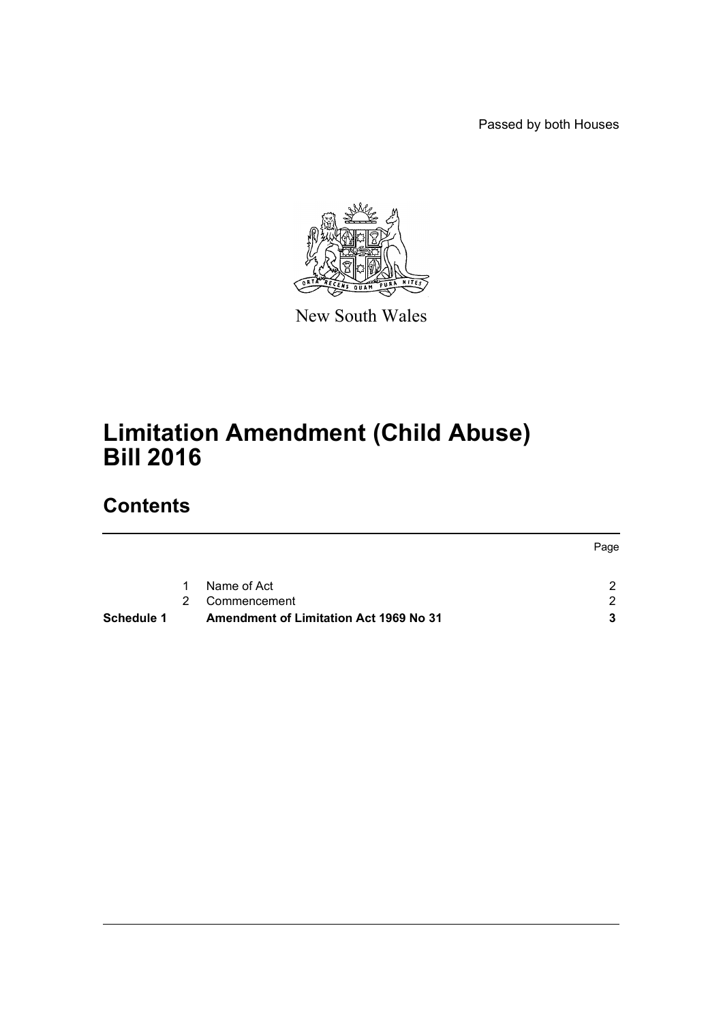Passed by both Houses



New South Wales

# **Limitation Amendment (Child Abuse) Bill 2016**

## **Contents**

| <b>Schedule 1</b> |             | Amendment of Limitation Act 1969 No 31 |      |
|-------------------|-------------|----------------------------------------|------|
|                   | $2^{\circ}$ | Commencement                           | ົ    |
|                   | $\mathbf 1$ | Name of Act                            |      |
|                   |             |                                        | Page |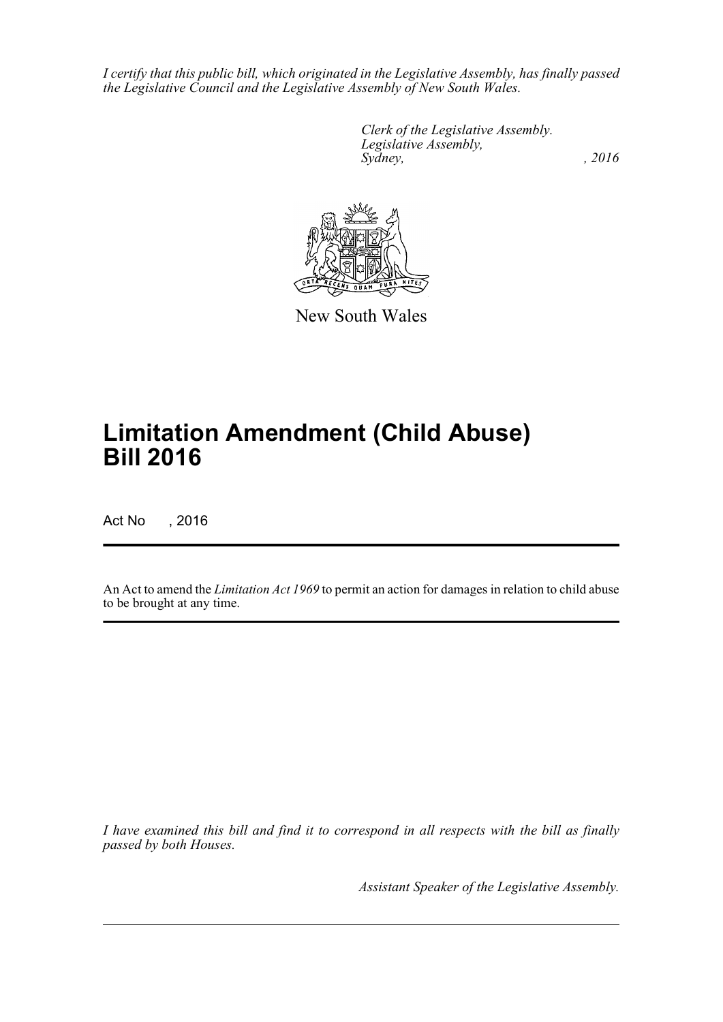*I certify that this public bill, which originated in the Legislative Assembly, has finally passed the Legislative Council and the Legislative Assembly of New South Wales.*

> *Clerk of the Legislative Assembly. Legislative Assembly, Sydney,* , 2016



New South Wales

# **Limitation Amendment (Child Abuse) Bill 2016**

Act No , 2016

An Act to amend the *Limitation Act 1969* to permit an action for damages in relation to child abuse to be brought at any time.

*I have examined this bill and find it to correspond in all respects with the bill as finally passed by both Houses.*

*Assistant Speaker of the Legislative Assembly.*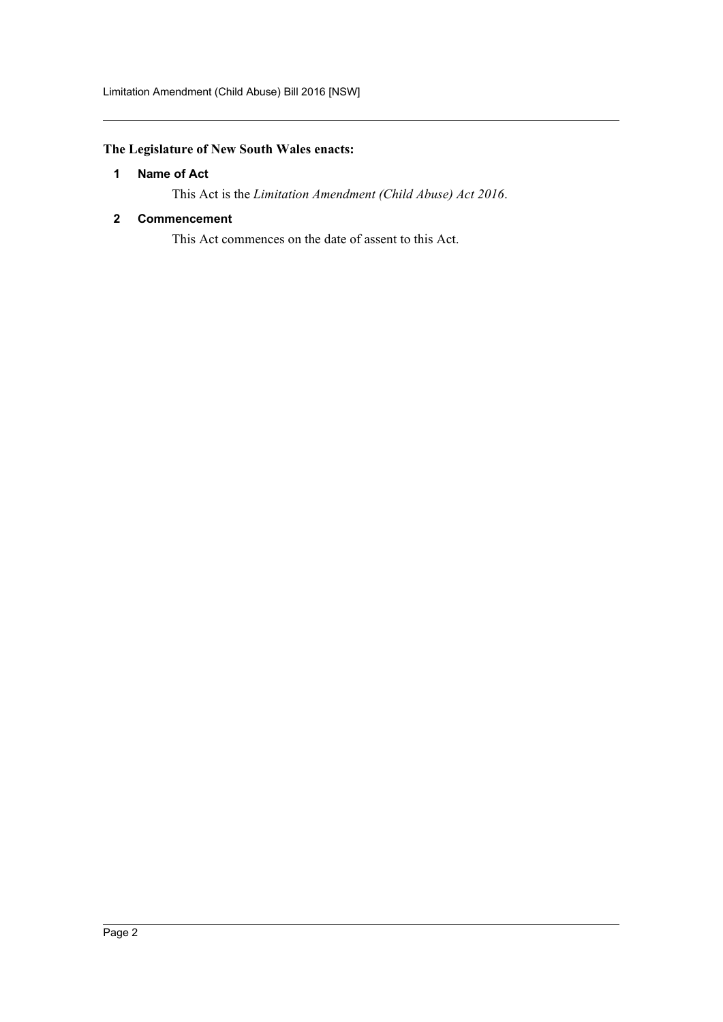### <span id="page-2-0"></span>**The Legislature of New South Wales enacts:**

#### **1 Name of Act**

This Act is the *Limitation Amendment (Child Abuse) Act 2016*.

#### <span id="page-2-1"></span>**2 Commencement**

This Act commences on the date of assent to this Act.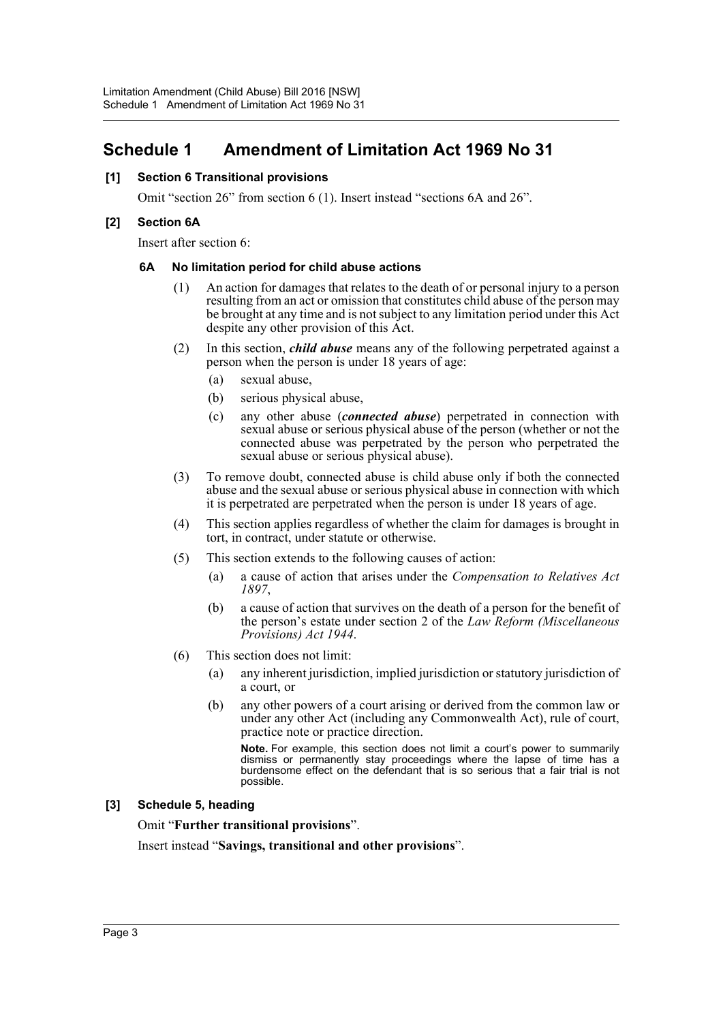### <span id="page-3-0"></span>**Schedule 1 Amendment of Limitation Act 1969 No 31**

#### **[1] Section 6 Transitional provisions**

Omit "section 26" from section 6 (1). Insert instead "sections 6A and 26".

#### **[2] Section 6A**

Insert after section 6:

#### **6A No limitation period for child abuse actions**

- (1) An action for damages that relates to the death of or personal injury to a person resulting from an act or omission that constitutes child abuse of the person may be brought at any time and is not subject to any limitation period under this Act despite any other provision of this Act.
- (2) In this section, *child abuse* means any of the following perpetrated against a person when the person is under 18 years of age:
	- (a) sexual abuse,
	- (b) serious physical abuse,
	- (c) any other abuse (*connected abuse*) perpetrated in connection with sexual abuse or serious physical abuse of the person (whether or not the connected abuse was perpetrated by the person who perpetrated the sexual abuse or serious physical abuse).
- (3) To remove doubt, connected abuse is child abuse only if both the connected abuse and the sexual abuse or serious physical abuse in connection with which it is perpetrated are perpetrated when the person is under 18 years of age.
- (4) This section applies regardless of whether the claim for damages is brought in tort, in contract, under statute or otherwise.
- (5) This section extends to the following causes of action:
	- (a) a cause of action that arises under the *Compensation to Relatives Act 1897*,
	- (b) a cause of action that survives on the death of a person for the benefit of the person's estate under section 2 of the *Law Reform (Miscellaneous Provisions) Act 1944*.
- (6) This section does not limit:
	- (a) any inherent jurisdiction, implied jurisdiction or statutory jurisdiction of a court, or
	- (b) any other powers of a court arising or derived from the common law or under any other Act (including any Commonwealth Act), rule of court, practice note or practice direction.

**Note.** For example, this section does not limit a court's power to summarily dismiss or permanently stay proceedings where the lapse of time has a burdensome effect on the defendant that is so serious that a fair trial is not possible.

#### **[3] Schedule 5, heading**

Omit "**Further transitional provisions**".

Insert instead "**Savings, transitional and other provisions**".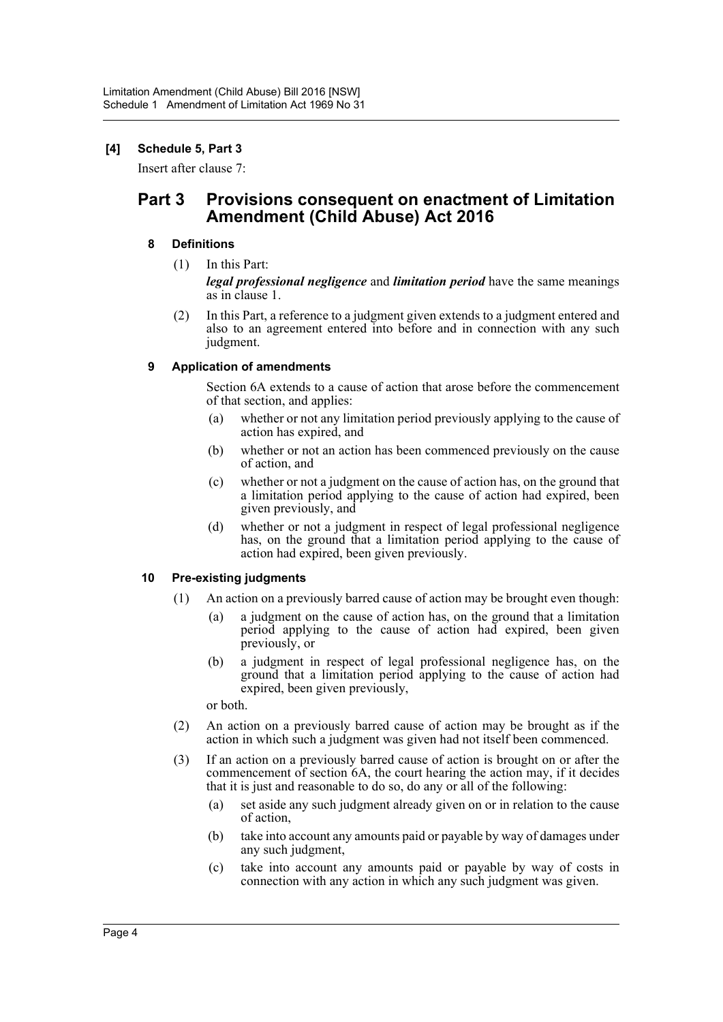#### **[4] Schedule 5, Part 3**

Insert after clause 7:

### **Part 3 Provisions consequent on enactment of Limitation Amendment (Child Abuse) Act 2016**

#### **8 Definitions**

(1) In this Part:

*legal professional negligence* and *limitation period* have the same meanings as in clause 1.

(2) In this Part, a reference to a judgment given extends to a judgment entered and also to an agreement entered into before and in connection with any such judgment.

#### **9 Application of amendments**

Section 6A extends to a cause of action that arose before the commencement of that section, and applies:

- (a) whether or not any limitation period previously applying to the cause of action has expired, and
- (b) whether or not an action has been commenced previously on the cause of action, and
- (c) whether or not a judgment on the cause of action has, on the ground that a limitation period applying to the cause of action had expired, been given previously, and
- (d) whether or not a judgment in respect of legal professional negligence has, on the ground that a limitation period applying to the cause of action had expired, been given previously.

#### **10 Pre-existing judgments**

- (1) An action on a previously barred cause of action may be brought even though:
	- (a) a judgment on the cause of action has, on the ground that a limitation period applying to the cause of action had expired, been given previously, or
	- (b) a judgment in respect of legal professional negligence has, on the ground that a limitation period applying to the cause of action had expired, been given previously,

or both.

- (2) An action on a previously barred cause of action may be brought as if the action in which such a judgment was given had not itself been commenced.
- (3) If an action on a previously barred cause of action is brought on or after the commencement of section 6A, the court hearing the action may, if it decides that it is just and reasonable to do so, do any or all of the following:
	- (a) set aside any such judgment already given on or in relation to the cause of action,
	- (b) take into account any amounts paid or payable by way of damages under any such judgment,
	- (c) take into account any amounts paid or payable by way of costs in connection with any action in which any such judgment was given.